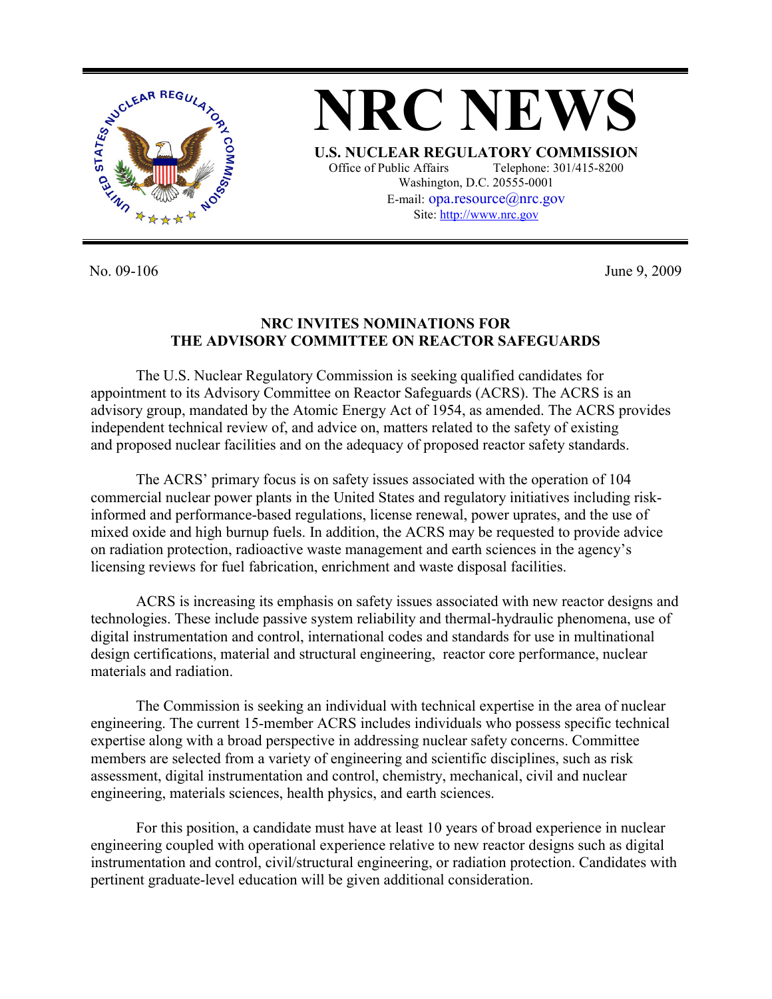

**NRC NEWS U.S. NUCLEAR REGULATORY COMMISSION** Office of Public Affairs Telephone: 301/415-8200 Washington, D.C. 20555-0001 E-mail: opa.resource@nrc.gov Site: http://www.nrc.gov

No. 09-106 June 9, 2009

## **NRC INVITES NOMINATIONS FOR THE ADVISORY COMMITTEE ON REACTOR SAFEGUARDS**

 The U.S. Nuclear Regulatory Commission is seeking qualified candidates for appointment to its Advisory Committee on Reactor Safeguards (ACRS). The ACRS is an advisory group, mandated by the Atomic Energy Act of 1954, as amended. The ACRS provides independent technical review of, and advice on, matters related to the safety of existing and proposed nuclear facilities and on the adequacy of proposed reactor safety standards.

 The ACRS' primary focus is on safety issues associated with the operation of 104 commercial nuclear power plants in the United States and regulatory initiatives including riskinformed and performance-based regulations, license renewal, power uprates, and the use of mixed oxide and high burnup fuels. In addition, the ACRS may be requested to provide advice on radiation protection, radioactive waste management and earth sciences in the agency's licensing reviews for fuel fabrication, enrichment and waste disposal facilities.

 ACRS is increasing its emphasis on safety issues associated with new reactor designs and technologies. These include passive system reliability and thermal-hydraulic phenomena, use of digital instrumentation and control, international codes and standards for use in multinational design certifications, material and structural engineering, reactor core performance, nuclear materials and radiation.

 The Commission is seeking an individual with technical expertise in the area of nuclear engineering. The current 15-member ACRS includes individuals who possess specific technical expertise along with a broad perspective in addressing nuclear safety concerns. Committee members are selected from a variety of engineering and scientific disciplines, such as risk assessment, digital instrumentation and control, chemistry, mechanical, civil and nuclear engineering, materials sciences, health physics, and earth sciences.

 For this position, a candidate must have at least 10 years of broad experience in nuclear engineering coupled with operational experience relative to new reactor designs such as digital instrumentation and control, civil/structural engineering, or radiation protection. Candidates with pertinent graduate-level education will be given additional consideration.